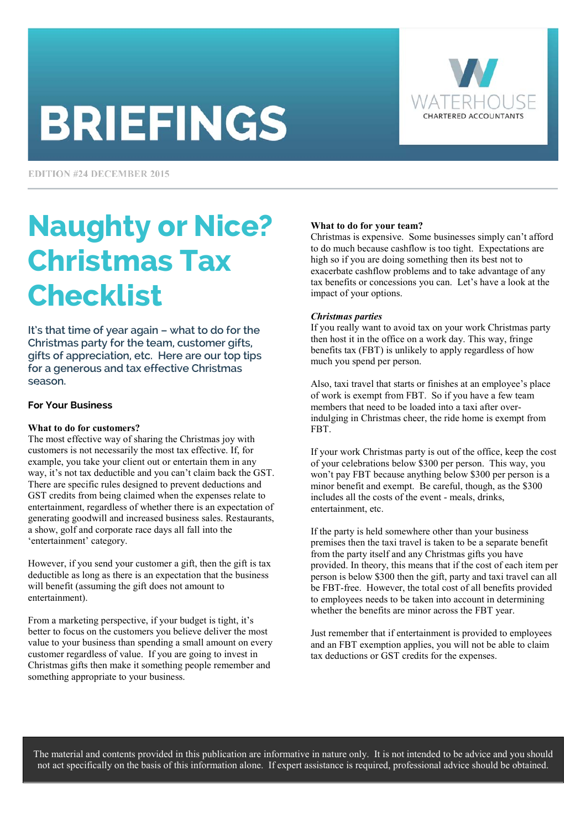# **BRIEFINGS**



**EDITION #24 DECEMBER 2015** 

## Naughty or Nice? Christmas Tax Checklist

It's that time of year again – what to do for the Christmas party for the team, customer gifts, gifts of appreciation, etc. Here are our top tips for a generous and tax effective Christmas season.

#### **For Your Business**

#### **What to do for customers?**

The most effective way of sharing the Christmas joy with customers is not necessarily the most tax effective. If, for example, you take your client out or entertain them in any way, it's not tax deductible and you can't claim back the GST. There are specific rules designed to prevent deductions and GST credits from being claimed when the expenses relate to entertainment, regardless of whether there is an expectation of generating goodwill and increased business sales. Restaurants, a show, golf and corporate race days all fall into the 'entertainment' category.

However, if you send your customer a gift, then the gift is tax deductible as long as there is an expectation that the business will benefit (assuming the gift does not amount to entertainment).

From a marketing perspective, if your budget is tight, it's better to focus on the customers you believe deliver the most value to your business than spending a small amount on every customer regardless of value. If you are going to invest in Christmas gifts then make it something people remember and something appropriate to your business.

#### **What to do for your team?**

Christmas is expensive. Some businesses simply can't afford to do much because cashflow is too tight. Expectations are high so if you are doing something then its best not to exacerbate cashflow problems and to take advantage of any tax benefits or concessions you can. Let's have a look at the impact of your options.

#### *Christmas parties*

If you really want to avoid tax on your work Christmas party then host it in the office on a work day. This way, fringe benefits tax (FBT) is unlikely to apply regardless of how much you spend per person.

Also, taxi travel that starts or finishes at an employee's place of work is exempt from FBT. So if you have a few team members that need to be loaded into a taxi after overindulging in Christmas cheer, the ride home is exempt from FBT.

If your work Christmas party is out of the office, keep the cost of your celebrations below \$300 per person. This way, you won't pay FBT because anything below \$300 per person is a minor benefit and exempt. Be careful, though, as the \$300 includes all the costs of the event - meals, drinks, entertainment, etc.

If the party is held somewhere other than your business premises then the taxi travel is taken to be a separate benefit from the party itself and any Christmas gifts you have provided. In theory, this means that if the cost of each item per person is below \$300 then the gift, party and taxi travel can all be FBT-free. However, the total cost of all benefits provided to employees needs to be taken into account in determining whether the benefits are minor across the FBT year.

Just remember that if entertainment is provided to employees and an FBT exemption applies, you will not be able to claim tax deductions or GST credits for the expenses.

The material and contents provided in this publication are informative in nature only. It is not intended to be advice and you should not act specifically on the basis of this information alone. If expert assistance is required, professional advice should be obtained.